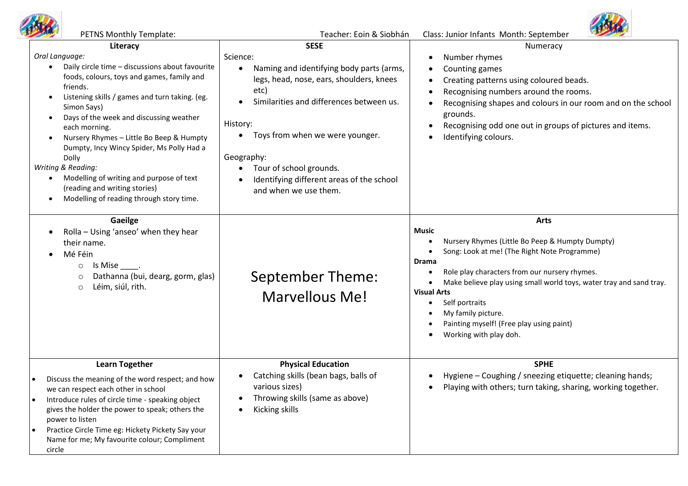

| PETNS Monthly Template:                                                                                                                                                                                                                                                                                                                                                                                                                                                                                                            | Teacher: Eoin & Siobhán                                                                                                                                                                                                                                                                                                                                     | Class: Junior Infants Month: September                                                                                                                                                                                                                                                                                                                                                                     |
|------------------------------------------------------------------------------------------------------------------------------------------------------------------------------------------------------------------------------------------------------------------------------------------------------------------------------------------------------------------------------------------------------------------------------------------------------------------------------------------------------------------------------------|-------------------------------------------------------------------------------------------------------------------------------------------------------------------------------------------------------------------------------------------------------------------------------------------------------------------------------------------------------------|------------------------------------------------------------------------------------------------------------------------------------------------------------------------------------------------------------------------------------------------------------------------------------------------------------------------------------------------------------------------------------------------------------|
| Literacy<br>Oral Language:<br>Daily circle time - discussions about favourite<br>foods, colours, toys and games, family and<br>friends.<br>Listening skills / games and turn taking. (eg.<br>Simon Says)<br>Days of the week and discussing weather<br>each morning.<br>Nursery Rhymes - Little Bo Beep & Humpty<br>Dumpty, Incy Wincy Spider, Ms Polly Had a<br>Dolly<br>Writing & Reading:<br>Modelling of writing and purpose of text<br>(reading and writing stories)<br>Modelling of reading through story time.<br>$\bullet$ | <b>SESE</b><br>Science:<br>Naming and identifying body parts (arms,<br>$\bullet$<br>legs, head, nose, ears, shoulders, knees<br>etc)<br>Similarities and differences between us.<br>History:<br>Toys from when we were younger.<br>$\bullet$<br>Geography:<br>Tour of school grounds.<br>Identifying different areas of the school<br>and when we use them. | Numeracy<br>Number rhymes<br>Counting games<br>Creating patterns using coloured beads.<br>Recognising numbers around the rooms.<br>Recognising shapes and colours in our room and on the school<br>grounds.<br>Recognising odd one out in groups of pictures and items.<br>Identifying colours.                                                                                                            |
| Gaeilge<br>Rolla - Using 'anseo' when they hear<br>their name.<br>Mé Féin<br>$Is Mise$ .<br>$\circ$<br>Dathanna (bui, dearg, gorm, glas)<br>$\circ$<br>Léim, siúl, rith.<br>$\circ$                                                                                                                                                                                                                                                                                                                                                | September Theme:<br>Marvellous Me!                                                                                                                                                                                                                                                                                                                          | <b>Arts</b><br><b>Music</b><br>Nursery Rhymes (Little Bo Peep & Humpty Dumpty)<br>Song: Look at me! (The Right Note Programme)<br><b>Drama</b><br>Role play characters from our nursery rhymes.<br>Make believe play using small world toys, water tray and sand tray.<br><b>Visual Arts</b><br>Self portraits<br>My family picture.<br>Painting myself! (Free play using paint)<br>Working with play doh. |
| <b>Learn Together</b><br>Discuss the meaning of the word respect; and how<br>we can respect each other in school<br>Introduce rules of circle time - speaking object<br>$\bullet$<br>gives the holder the power to speak; others the<br>power to listen<br>Practice Circle Time eg: Hickety Pickety Say your<br>$\bullet$<br>Name for me; My favourite colour; Compliment<br>circle                                                                                                                                                | <b>Physical Education</b><br>Catching skills (bean bags, balls of<br>various sizes)<br>Throwing skills (same as above)<br>Kicking skills                                                                                                                                                                                                                    | <b>SPHE</b><br>Hygiene - Coughing / sneezing etiquette; cleaning hands;<br>Playing with others; turn taking, sharing, working together.                                                                                                                                                                                                                                                                    |